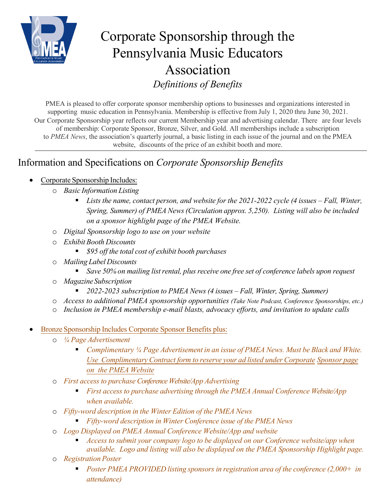

## Corporate Sponsorship through the Pennsylvania Music Educators Association *Definitions of Benefits*

PMEA is pleased to offer corporate sponsor membership options to businesses and organizations interested in supporting music education in Pennsylvania. Membership is effective from July 1, 2020 thru June 30, 2021. Our Corporate Sponsorship year reflects our current Membership year and advertising calendar. There are four levels of membership: Corporate Sponsor, Bronze, Silver, and Gold. All memberships include a subscription to *PMEA News*, the association's quarterly journal, a basic listing in each issue of the journal and on the PMEA website, discounts of the price of an exhibit booth and more.

## Information and Specifications on *Corporate Sponsorship Benefits*

## • Corporate Sponsorship Includes:

- o *Basic Information Listing*
	- *Lists the name, contact person, and website for the 2021-2022 cycle (4 issues Fall, Winter, Spring, Summer) of PMEA News(Circulation approx. 5,250). Listing will also be included on a sponsor highlight page of the PMEA Website.*
- o *Digital Sponsorship logo to use on your website*
- o *Exhibit Booth Discounts*
	- *\$95 off the total cost of exhibit booth purchases*
- o *Mailing Label Discounts*
	- *Save 50% on mailing listrental, plus receive one free set of conference labels upon request*
- o *MagazineSubscription*
	- *2022-2023 subscription to PMEA News (4 issues Fall, Winter, Spring, Summer)*
- o *Access to additional PMEA sponsorship opportunities (Take Note Podcast, Conference Sponsorships, etc.)*
- o *Inclusion in PMEA membership e-mail blasts, advocacy efforts, and invitation to update calls*
- Bronze Sponsorship Includes Corporate Sponsor Benefits plus:
	- o *¼ Page Advertisement*
		- *Complimentary ¼ Page Advertisement in an issue of PMEA News. Must be Black and White. Use ComplimentaryContract form to reserve your ad listed under Corporate Sponsor page on the PMEA Website*
	- o *First access to purchase Conference Website/App Advertising*
		- *First access to purchase advertising through the PMEA Annual Conference Website/App when available.*
	- o *Fifty-word description in the Winter Edition of the PMEA News*
		- *Fifty-word description in Winter Conference issue of the PMEA News*
	- o *Logo Displayed on PMEA Annual Conference Website/App and website*
		- *Access to submit your company logo to be displayed on our Conference website/app when available. Logo and listing will also be displayed on the PMEA Sponsorship Highlight page.*
	- o *Registration Poster*
		- *Poster PMEA PROVIDED listing sponsors in registration area of the conference (2,000+ in attendance)*